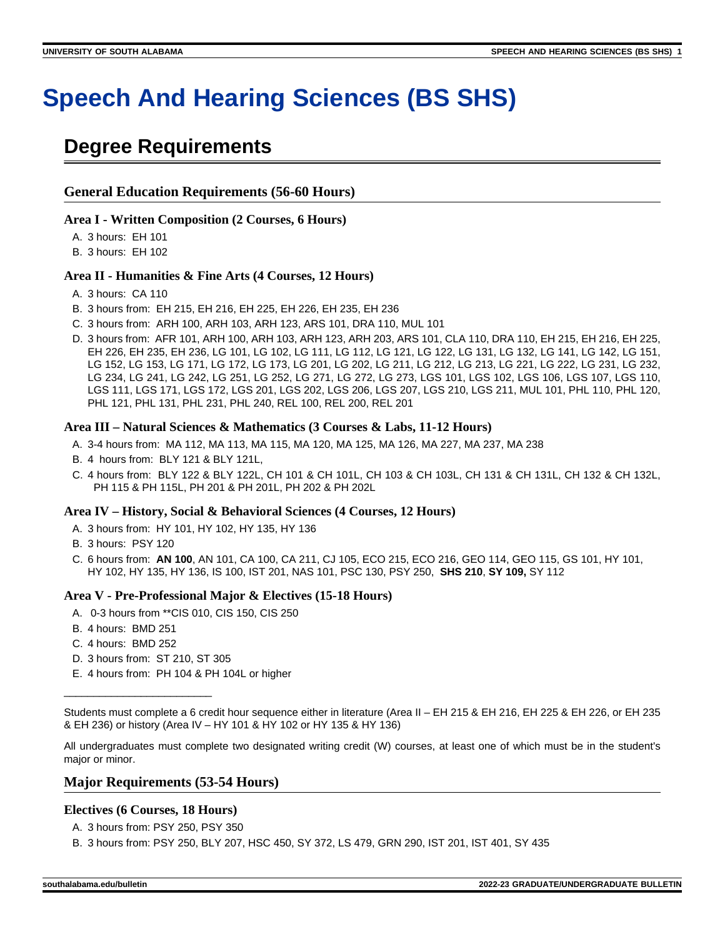# **Speech And Hearing Sciences (BS SHS)**

# **Degree Requirements**

#### **General Education Requirements (56-60 Hours)**

#### **Area I - Written Composition (2 Courses, 6 Hours)**

A. 3 hours: EH 101

B. 3 hours: EH 102

#### **Area II - Humanities & Fine Arts (4 Courses, 12 Hours)**

- A. 3 hours: CA 110
- B. 3 hours from: EH 215, EH 216, EH 225, EH 226, EH 235, EH 236
- C. 3 hours from: ARH 100, ARH 103, ARH 123, ARS 101, DRA 110, MUL 101
- D. 3 hours from: AFR 101, ARH 100, ARH 103, ARH 123, ARH 203, ARS 101, CLA 110, DRA 110, EH 215, EH 216, EH 225, EH 226, EH 235, EH 236, LG 101, LG 102, LG 111, LG 112, LG 121, LG 122, LG 131, LG 132, LG 141, LG 142, LG 151, LG 152, LG 153, LG 171, LG 172, LG 173, LG 201, LG 202, LG 211, LG 212, LG 213, LG 221, LG 222, LG 231, LG 232, LG 234, LG 241, LG 242, LG 251, LG 252, LG 271, LG 272, LG 273, LGS 101, LGS 102, LGS 106, LGS 107, LGS 110, LGS 111, LGS 171, LGS 172, LGS 201, LGS 202, LGS 206, LGS 207, LGS 210, LGS 211, MUL 101, PHL 110, PHL 120, PHL 121, PHL 131, PHL 231, PHL 240, REL 100, REL 200, REL 201

#### **Area III – Natural Sciences & Mathematics (3 Courses & Labs, 11-12 Hours)**

- A. 3-4 hours from: MA 112, MA 113, MA 115, MA 120, MA 125, MA 126, MA 227, MA 237, MA 238
- B. 4 hours from: BLY 121 & BLY 121L,
- C. 4 hours from: BLY 122 & BLY 122L, CH 101 & CH 101L, CH 103 & CH 103L, CH 131 & CH 131L, CH 132 & CH 132L, PH 115 & PH 115L, PH 201 & PH 201L, PH 202 & PH 202L

#### **Area IV – History, Social & Behavioral Sciences (4 Courses, 12 Hours)**

- A. 3 hours from: HY 101, HY 102, HY 135, HY 136
- B. 3 hours: PSY 120
- C. 6 hours from: **AN 100**, AN 101, CA 100, CA 211, CJ 105, ECO 215, ECO 216, GEO 114, GEO 115, GS 101, HY 101, HY 102, HY 135, HY 136, IS 100, IST 201, NAS 101, PSC 130, PSY 250, **SHS 210**, **SY 109,** SY 112

#### **Area V - Pre-Professional Major & Electives (15-18 Hours)**

- A. 0-3 hours from \*\*CIS 010, CIS 150, CIS 250
- B. 4 hours: BMD 251
- C. 4 hours: BMD 252
- D. 3 hours from: ST 210, ST 305

\_\_\_\_\_\_\_\_\_\_\_\_\_\_\_\_\_\_\_\_\_\_\_\_\_

E. 4 hours from: PH 104 & PH 104L or higher

Students must complete a 6 credit hour sequence either in literature (Area II – EH 215 & EH 216, EH 225 & EH 226, or EH 235 & EH 236) or history (Area IV – HY 101 & HY 102 or HY 135 & HY 136)

All undergraduates must complete two designated writing credit (W) courses, at least one of which must be in the student's major or minor.

#### **Major Requirements (53-54 Hours)**

#### **Electives (6 Courses, 18 Hours)**

- A. 3 hours from: PSY 250, PSY 350
- B. 3 hours from: PSY 250, BLY 207, HSC 450, SY 372, LS 479, GRN 290, IST 201, IST 401, SY 435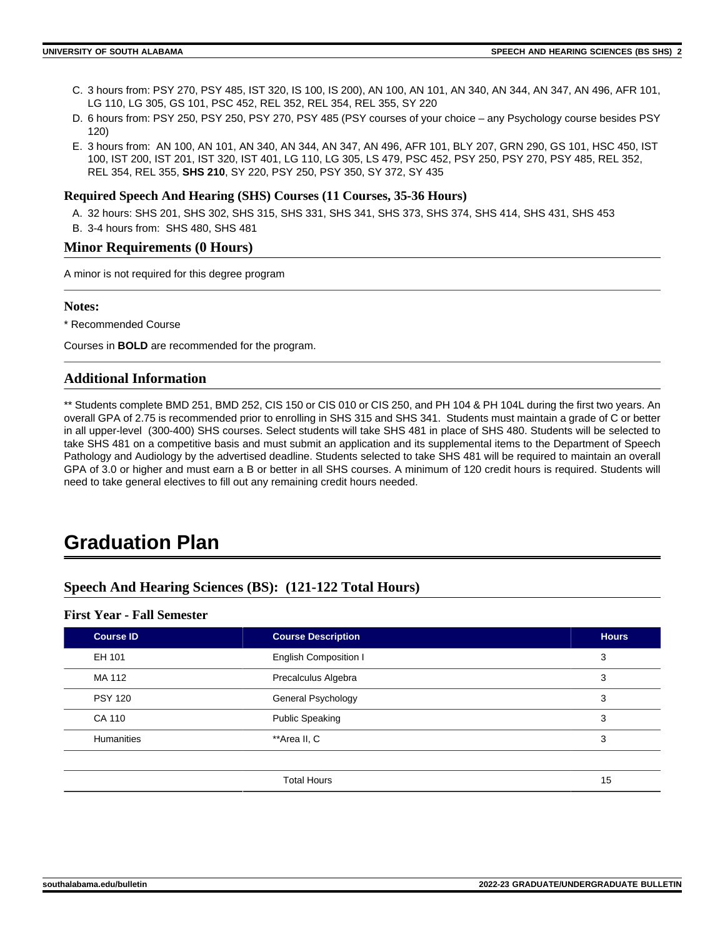- C. 3 hours from: PSY 270, PSY 485, IST 320, IS 100, IS 200), AN 100, AN 101, AN 340, AN 344, AN 347, AN 496, AFR 101, LG 110, LG 305, GS 101, PSC 452, REL 352, REL 354, REL 355, SY 220
- D. 6 hours from: PSY 250, PSY 250, PSY 270, PSY 485 (PSY courses of your choice any Psychology course besides PSY 120)
- E. 3 hours from: AN 100, AN 101, AN 340, AN 344, AN 347, AN 496, AFR 101, BLY 207, GRN 290, GS 101, HSC 450, IST 100, IST 200, IST 201, IST 320, IST 401, LG 110, LG 305, LS 479, PSC 452, PSY 250, PSY 270, PSY 485, REL 352, REL 354, REL 355, **SHS 210**, SY 220, PSY 250, PSY 350, SY 372, SY 435

#### **Required Speech And Hearing (SHS) Courses (11 Courses, 35-36 Hours)**

- A. 32 hours: SHS 201, SHS 302, SHS 315, SHS 331, SHS 341, SHS 373, SHS 374, SHS 414, SHS 431, SHS 453
- B. 3-4 hours from: SHS 480, SHS 481

#### **Minor Requirements (0 Hours)**

A minor is not required for this degree program

#### **Notes:**

\* Recommended Course

Courses in **BOLD** are recommended for the program.

#### **Additional Information**

\*\* Students complete BMD 251, BMD 252, CIS 150 or CIS 010 or CIS 250, and PH 104 & PH 104L during the first two years. An overall GPA of 2.75 is recommended prior to enrolling in SHS 315 and SHS 341. Students must maintain a grade of C or better in all upper-level (300-400) SHS courses. Select students will take SHS 481 in place of SHS 480. Students will be selected to take SHS 481 on a competitive basis and must submit an application and its supplemental items to the Department of Speech Pathology and Audiology by the advertised deadline. Students selected to take SHS 481 will be required to maintain an overall GPA of 3.0 or higher and must earn a B or better in all SHS courses. A minimum of 120 credit hours is required. Students will need to take general electives to fill out any remaining credit hours needed.

# **Graduation Plan**

### **Speech And Hearing Sciences (BS): (121-122 Total Hours)**

#### **First Year - Fall Semester**

| <b>Course ID</b> | <b>Course Description</b>    | <b>Hours</b> |
|------------------|------------------------------|--------------|
| EH 101           | <b>English Composition I</b> | 3            |
| MA 112           | Precalculus Algebra          | 3            |
| <b>PSY 120</b>   | General Psychology           | 3            |
| CA 110           | <b>Public Speaking</b>       | 3            |
| Humanities       | **Area II, C                 | 3            |
|                  |                              |              |
|                  | <b>Total Hours</b>           | 15           |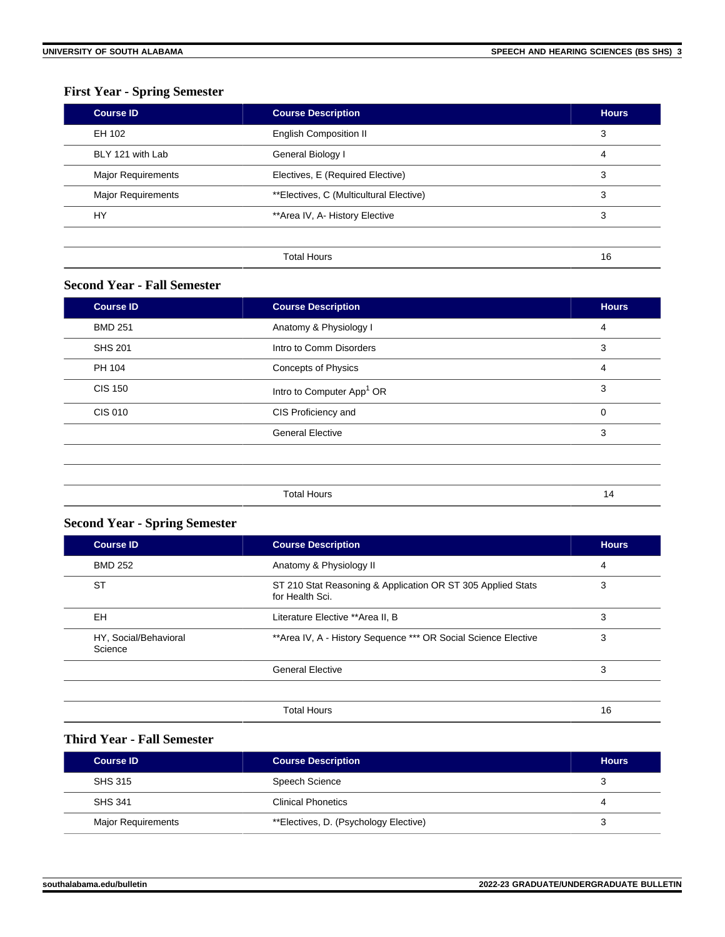## **First Year - Spring Semester**

| <b>Course ID</b>          | <b>Course Description</b>               | <b>Hours</b> |
|---------------------------|-----------------------------------------|--------------|
| EH 102                    | <b>English Composition II</b>           | 3            |
| BLY 121 with Lab          | General Biology I                       | 4            |
| Major Requirements        | Electives, E (Required Elective)        | 3            |
| <b>Major Requirements</b> | **Electives, C (Multicultural Elective) | 3            |
| HY                        | **Area IV, A- History Elective          | 3            |
|                           |                                         |              |
|                           | <b>Total Hours</b>                      | 16           |

#### **Second Year - Fall Semester**

| <b>Course ID</b> | <b>Course Description</b>             | <b>Hours</b>   |
|------------------|---------------------------------------|----------------|
| <b>BMD 251</b>   | Anatomy & Physiology I                | $\overline{4}$ |
| <b>SHS 201</b>   | Intro to Comm Disorders               | 3              |
| PH 104           | Concepts of Physics                   | 4              |
| <b>CIS 150</b>   | Intro to Computer App <sup>1</sup> OR | 3              |
| <b>CIS 010</b>   | CIS Proficiency and                   | 0              |
|                  | <b>General Elective</b>               | 3              |
|                  |                                       |                |
|                  |                                       |                |
|                  | <b>Total Hours</b>                    | 14             |

# **Second Year - Spring Semester**

| <b>Course ID</b>                 | <b>Course Description</b>                                                      | <b>Hours</b> |
|----------------------------------|--------------------------------------------------------------------------------|--------------|
| <b>BMD 252</b>                   | Anatomy & Physiology II                                                        | 4            |
| <b>ST</b>                        | ST 210 Stat Reasoning & Application OR ST 305 Applied Stats<br>for Health Sci. | 3            |
| <b>EH</b>                        | Literature Elective ** Area II, B                                              | 3            |
| HY, Social/Behavioral<br>Science | ** Area IV, A - History Sequence *** OR Social Science Elective                | 3            |
|                                  | <b>General Elective</b>                                                        | 3            |
|                                  | <b>Total Hours</b>                                                             | 16           |

### **Third Year - Fall Semester**

| <b>Course ID</b>          | <b>Course Description</b>             | <b>Hours</b> |
|---------------------------|---------------------------------------|--------------|
| SHS 315                   | Speech Science                        | J            |
| <b>SHS 341</b>            | <b>Clinical Phonetics</b>             |              |
| <b>Major Requirements</b> | **Electives, D. (Psychology Elective) |              |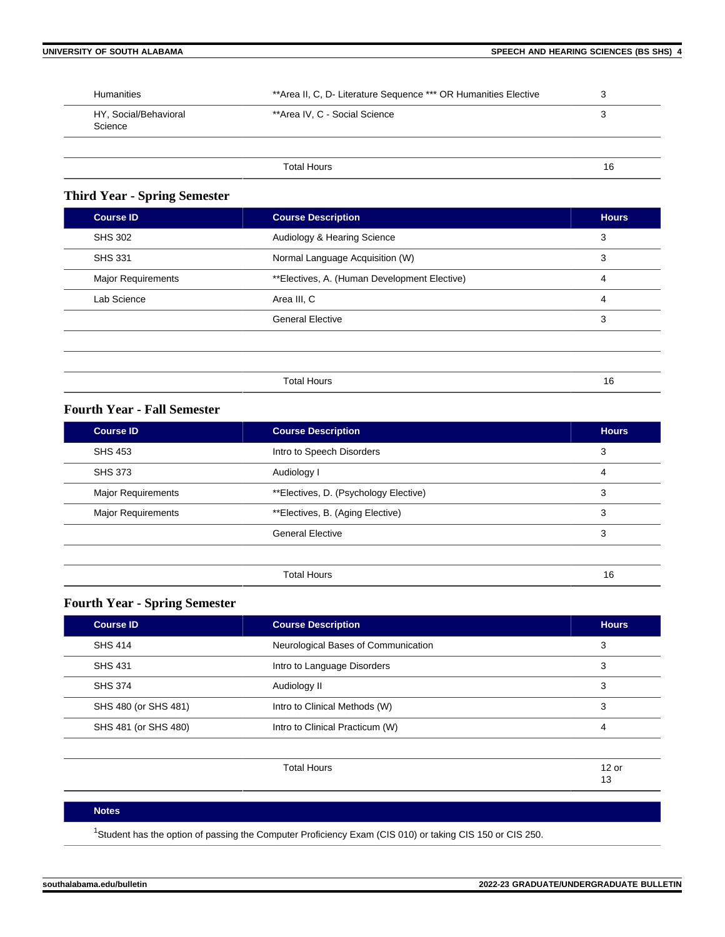| <b>Humanities</b>                | **Area II, C, D- Literature Sequence *** OR Humanities Elective | ີ<br>د، |
|----------------------------------|-----------------------------------------------------------------|---------|
| HY, Social/Behavioral<br>Science | **Area IV, C - Social Science                                   | 3       |
|                                  |                                                                 |         |
|                                  | <b>Total Hours</b>                                              | 16      |

## **Third Year - Spring Semester**

| <b>Course ID</b>   | <b>Course Description</b>                    | <b>Hours</b>   |
|--------------------|----------------------------------------------|----------------|
| <b>SHS 302</b>     | Audiology & Hearing Science                  | 3              |
| <b>SHS 331</b>     | Normal Language Acquisition (W)              | 3              |
| Major Requirements | **Electives, A. (Human Development Elective) | $\overline{4}$ |
| Lab Science        | Area III, C                                  | $\overline{4}$ |
|                    | <b>General Elective</b>                      | 3              |
|                    |                                              |                |
|                    |                                              |                |
|                    | <b>Total Hours</b>                           | 16             |

### **Fourth Year - Fall Semester**

| <b>Course ID</b>          | <b>Course Description</b>             | <b>Hours</b> |
|---------------------------|---------------------------------------|--------------|
| <b>SHS 453</b>            | Intro to Speech Disorders             | 3            |
| <b>SHS 373</b>            | Audiology I                           | 4            |
| <b>Major Requirements</b> | **Electives, D. (Psychology Elective) | 3            |
| <b>Major Requirements</b> | **Electives, B. (Aging Elective)      | 3            |
|                           | <b>General Elective</b>               | 3            |
|                           |                                       |              |
|                           | <b>Total Hours</b>                    | 16           |

# **Fourth Year - Spring Semester**

| <b>Course Description</b>           | <b>Hours</b>  |
|-------------------------------------|---------------|
| Neurological Bases of Communication | 3             |
| Intro to Language Disorders         | 3             |
| Audiology II                        | 3             |
| Intro to Clinical Methods (W)       | 3             |
| Intro to Clinical Practicum (W)     | 4             |
|                                     |               |
| <b>Total Hours</b>                  | $12$ or<br>13 |
|                                     |               |

#### **Notes**

<sup>1</sup>Student has the option of passing the Computer Proficiency Exam (CIS 010) or taking CIS 150 or CIS 250.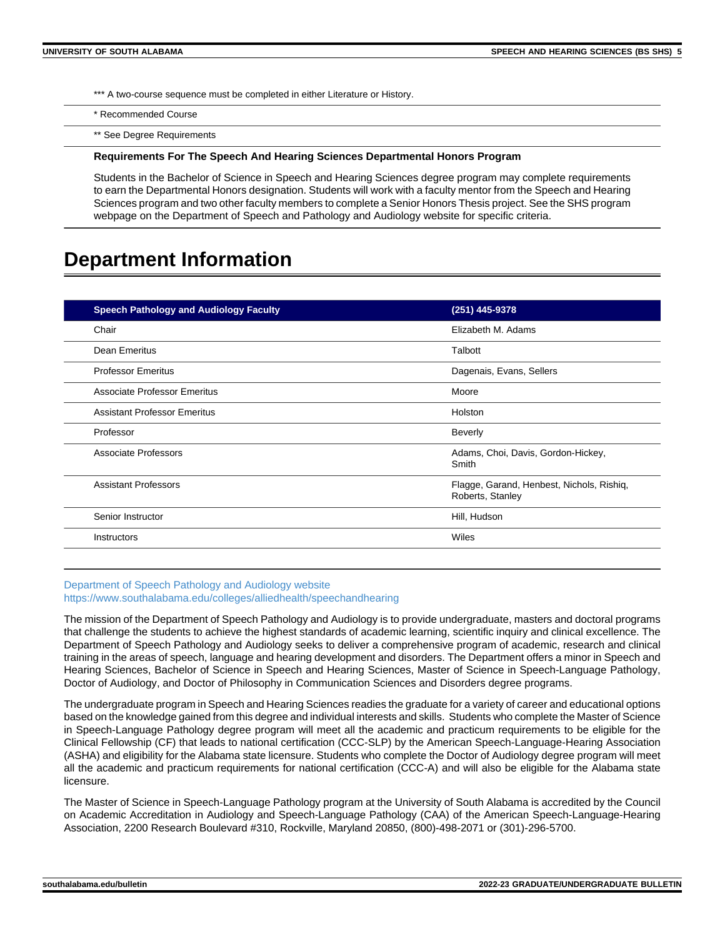\*\*\* A two-course sequence must be completed in either Literature or History.

\* Recommended Course

\*\* See Degree Requirements

#### **Requirements For The Speech And Hearing Sciences Departmental Honors Program**

Students in the Bachelor of Science in Speech and Hearing Sciences degree program may complete requirements to earn the Departmental Honors designation. Students will work with a faculty mentor from the Speech and Hearing Sciences program and two other faculty members to complete a Senior Honors Thesis project. See the SHS program webpage on the Department of Speech and Pathology and Audiology website for specific criteria.

# **Department Information**

| <b>Speech Pathology and Audiology Faculty</b> | (251) 445-9378                                                |
|-----------------------------------------------|---------------------------------------------------------------|
| Chair                                         | Elizabeth M. Adams                                            |
| Dean Emeritus                                 | Talbott                                                       |
| <b>Professor Emeritus</b>                     | Dagenais, Evans, Sellers                                      |
| Associate Professor Emeritus                  | Moore                                                         |
| <b>Assistant Professor Emeritus</b>           | Holston                                                       |
| Professor                                     | <b>Beverly</b>                                                |
| Associate Professors                          | Adams, Choi, Davis, Gordon-Hickey,<br>Smith                   |
| <b>Assistant Professors</b>                   | Flagge, Garand, Henbest, Nichols, Rishig,<br>Roberts, Stanley |
| Senior Instructor                             | Hill, Hudson                                                  |
| <b>Instructors</b>                            | Wiles                                                         |

#### [Department of Speech Pathology and Audiology website](https://www.southalabama.edu/colleges/alliedhealth/speechandhearing) <https://www.southalabama.edu/colleges/alliedhealth/speechandhearing>

The mission of the Department of Speech Pathology and Audiology is to provide undergraduate, masters and doctoral programs that challenge the students to achieve the highest standards of academic learning, scientific inquiry and clinical excellence. The Department of Speech Pathology and Audiology seeks to deliver a comprehensive program of academic, research and clinical training in the areas of speech, language and hearing development and disorders. The Department offers a minor in Speech and Hearing Sciences, Bachelor of Science in Speech and Hearing Sciences, Master of Science in Speech-Language Pathology, Doctor of Audiology, and Doctor of Philosophy in Communication Sciences and Disorders degree programs.

The undergraduate program in Speech and Hearing Sciences readies the graduate for a variety of career and educational options based on the knowledge gained from this degree and individual interests and skills. Students who complete the Master of Science in Speech-Language Pathology degree program will meet all the academic and practicum requirements to be eligible for the Clinical Fellowship (CF) that leads to national certification (CCC-SLP) by the American Speech-Language-Hearing Association (ASHA) and eligibility for the Alabama state licensure. Students who complete the Doctor of Audiology degree program will meet all the academic and practicum requirements for national certification (CCC-A) and will also be eligible for the Alabama state licensure.

The Master of Science in Speech-Language Pathology program at the University of South Alabama is accredited by the Council on Academic Accreditation in Audiology and Speech-Language Pathology (CAA) of the American Speech-Language-Hearing Association, 2200 Research Boulevard #310, Rockville, Maryland 20850, (800)-498-2071 or (301)-296-5700.